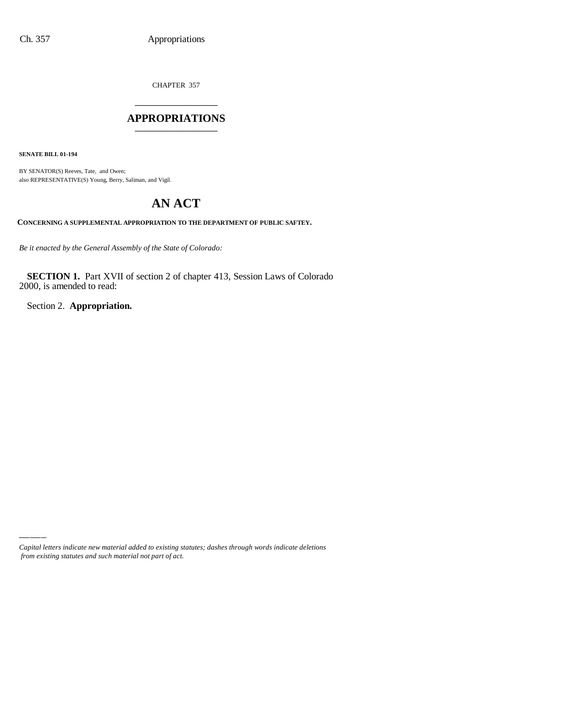CHAPTER 357 \_\_\_\_\_\_\_\_\_\_\_\_\_\_\_

#### **APPROPRIATIONS** \_\_\_\_\_\_\_\_\_\_\_\_\_\_\_

**SENATE BILL 01-194**

BY SENATOR(S) Reeves, Tate, and Owen; also REPRESENTATIVE(S) Young, Berry, Saliman, and Vigil.

# **AN ACT**

**CONCERNING A SUPPLEMENTAL APPROPRIATION TO THE DEPARTMENT OF PUBLIC SAFTEY.**

*Be it enacted by the General Assembly of the State of Colorado:*

**SECTION 1.** Part XVII of section 2 of chapter 413, Session Laws of Colorado 2000, is amended to read:

Section 2. **Appropriation.**

*Capital letters indicate new material added to existing statutes; dashes through words indicate deletions from existing statutes and such material not part of act.*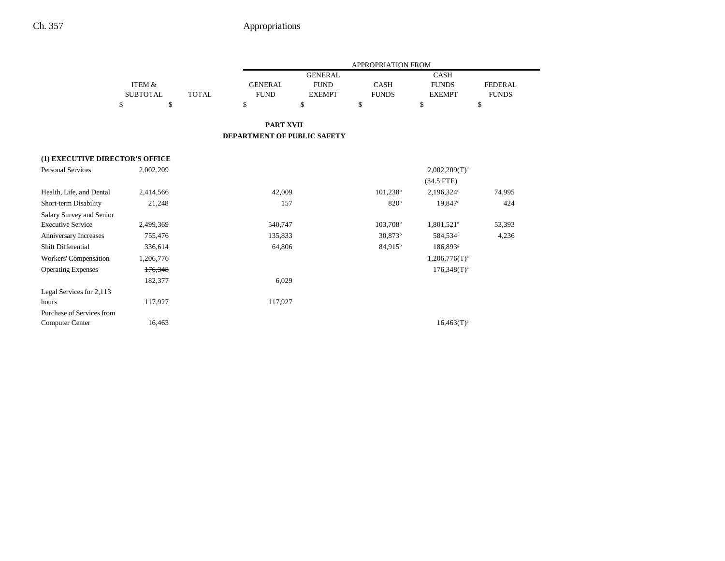-

|                                 |                 |              |                                    |                | <b>APPROPRIATION FROM</b> |                          |                |
|---------------------------------|-----------------|--------------|------------------------------------|----------------|---------------------------|--------------------------|----------------|
|                                 |                 |              |                                    | <b>GENERAL</b> |                           | <b>CASH</b>              |                |
|                                 | ITEM &          |              | <b>GENERAL</b>                     | <b>FUND</b>    | <b>CASH</b>               | <b>FUNDS</b>             | <b>FEDERAL</b> |
|                                 | <b>SUBTOTAL</b> | <b>TOTAL</b> | <b>FUND</b>                        | <b>EXEMPT</b>  | <b>FUNDS</b>              | <b>EXEMPT</b>            | <b>FUNDS</b>   |
|                                 | \$<br>\$        |              | \$                                 | \$             | $\mathbf{\hat{S}}$        | \$                       | \$             |
|                                 |                 |              | <b>PART XVII</b>                   |                |                           |                          |                |
|                                 |                 |              | <b>DEPARTMENT OF PUBLIC SAFETY</b> |                |                           |                          |                |
| (1) EXECUTIVE DIRECTOR'S OFFICE |                 |              |                                    |                |                           |                          |                |
| <b>Personal Services</b>        | 2,002,209       |              |                                    |                |                           | $2,002,209(T)^a$         |                |
|                                 |                 |              |                                    |                |                           | $(34.5$ FTE)             |                |
| Health, Life, and Dental        | 2,414,566       |              | 42,009                             |                | $101,238$ <sup>b</sup>    | 2,196,324°               | 74,995         |
| Short-term Disability           | 21,248          |              | 157                                |                | 820 <sup>b</sup>          | $19,847$ <sup>d</sup>    | 424            |
| Salary Survey and Senior        |                 |              |                                    |                |                           |                          |                |
| <b>Executive Service</b>        | 2,499,369       |              | 540,747                            |                | $103,708$ <sup>b</sup>    | $1,801,521$ <sup>e</sup> | 53,393         |
| Anniversary Increases           | 755,476         |              | 135,833                            |                | $30,873^b$                | 584,534f                 | 4,236          |
| Shift Differential              | 336,614         |              | 64,806                             |                | 84,915 <sup>b</sup>       | 186,893 <sup>g</sup>     |                |
| Workers' Compensation           | 1,206,776       |              |                                    |                |                           | $1,206,776(T)^a$         |                |
| <b>Operating Expenses</b>       | 176,348         |              |                                    |                |                           | $176,348(T)^{a}$         |                |
|                                 | 182,377         |              | 6,029                              |                |                           |                          |                |
| Legal Services for 2,113        |                 |              |                                    |                |                           |                          |                |
| hours                           | 117,927         |              | 117,927                            |                |                           |                          |                |
| Purchase of Services from       |                 |              |                                    |                |                           |                          |                |
| Computer Center                 | 16,463          |              |                                    |                |                           | $16,463(T)^{a}$          |                |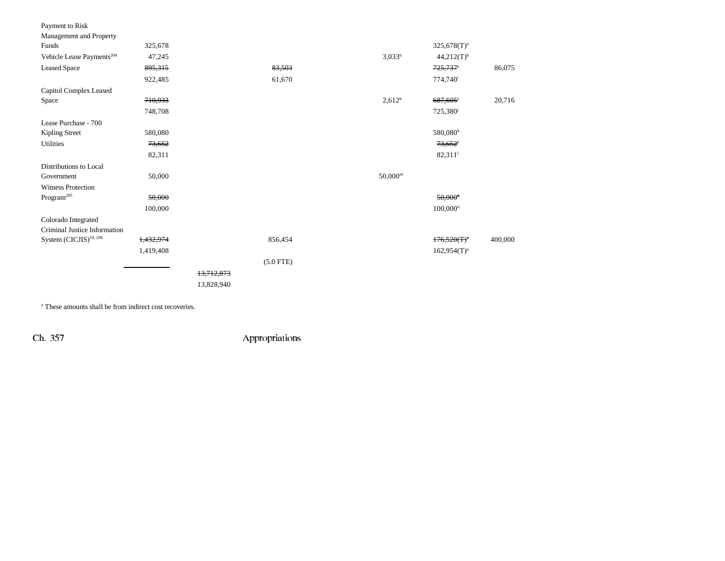| Payment to Risk<br>Management and Property |           |            |             |                  |                          |         |
|--------------------------------------------|-----------|------------|-------------|------------------|--------------------------|---------|
| Funds                                      | 325,678   |            |             |                  | $325,678(T)^{a}$         |         |
| Vehicle Lease Payments <sup>204</sup>      | 47,245    |            |             | $3,033^b$        | $44,212(T)$ <sup>h</sup> |         |
| <b>Leased Space</b>                        | 895,315   |            | 83,503      |                  | 725,737 <sup>i</sup>     | 86,075  |
|                                            | 922,485   |            | 61,670      |                  | 774,740 <sup>i</sup>     |         |
| Capitol Complex Leased                     |           |            |             |                  |                          |         |
| Space                                      | 710,933   |            |             | $2,612^b$        | 687,605 <sup>i</sup>     | 20,716  |
|                                            | 748,708   |            |             |                  | 725,380 <sup>j</sup>     |         |
| Lease Purchase - 700                       |           |            |             |                  |                          |         |
| Kipling Street                             | 580,080   |            |             |                  | $580,080^k$              |         |
| <b>Utilities</b>                           | 73,652    |            |             |                  | 73,652                   |         |
|                                            | 82,311    |            |             |                  | $82,311$ <sup>1</sup>    |         |
| Distributions to Local                     |           |            |             |                  |                          |         |
| Government                                 | 50,000    |            |             | $50,000^{\rm m}$ |                          |         |
| <b>Witness Protection</b>                  |           |            |             |                  |                          |         |
| $\rm{Program}^{205}$                       | 50,000    |            |             |                  | $50,000$ <sup>n</sup>    |         |
|                                            | 100,000   |            |             |                  | $100,000^n$              |         |
| Colorado Integrated                        |           |            |             |                  |                          |         |
| Criminal Justice Information               |           |            |             |                  |                          |         |
| System (CICJIS) <sup>16, 206</sup>         | 1,432,974 |            | 856,454     |                  | $176,520(T)^n$           | 400,000 |
|                                            | 1,419,408 |            |             |                  | $162,954(T)^a$           |         |
|                                            |           |            | $(5.0$ FTE) |                  |                          |         |
|                                            |           | 13,712,873 |             |                  |                          |         |
|                                            |           | 13,828,940 |             |                  |                          |         |
|                                            |           |            |             |                  |                          |         |

a These amounts shall be from indirect cost recoveries.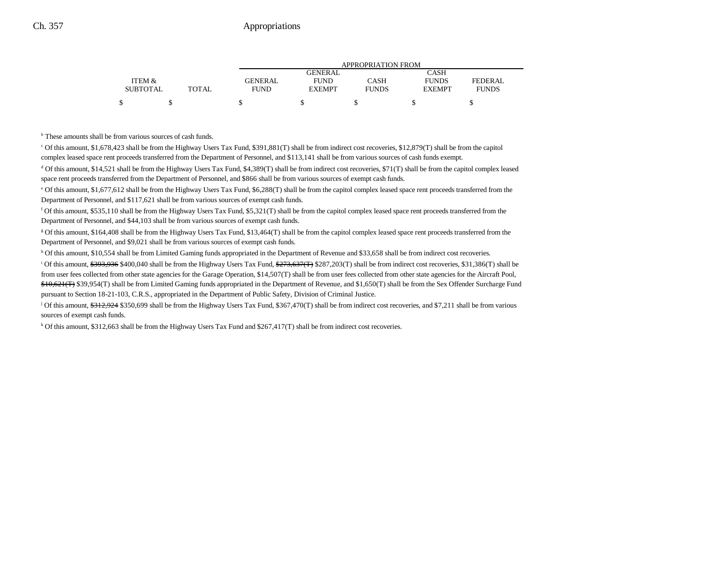|                 |       |                | APPROPRIATION FROM |              |               |              |  |  |
|-----------------|-------|----------------|--------------------|--------------|---------------|--------------|--|--|
|                 |       |                | GENERAL            |              | CASH          |              |  |  |
| ITEM &          |       | <b>GENERAL</b> | <b>FUND</b>        | CASH         | <b>FUNDS</b>  | FEDERAL      |  |  |
| <b>SUBTOTAL</b> | TOTAL | <b>FUND</b>    | <b>EXEMPT</b>      | <b>FUNDS</b> | <b>EXEMPT</b> | <b>FUNDS</b> |  |  |
|                 |       |                |                    |              |               |              |  |  |

b These amounts shall be from various sources of cash funds.

c Of this amount, \$1,678,423 shall be from the Highway Users Tax Fund, \$391,881(T) shall be from indirect cost recoveries, \$12,879(T) shall be from the capitol complex leased space rent proceeds transferred from the Department of Personnel, and \$113,141 shall be from various sources of cash funds exempt.

d Of this amount, \$14,521 shall be from the Highway Users Tax Fund, \$4,389(T) shall be from indirect cost recoveries, \$71(T) shall be from the capitol complex leased space rent proceeds transferred from the Department of Personnel, and \$866 shall be from various sources of exempt cash funds.

<sup>e</sup> Of this amount, \$1,677,612 shall be from the Highway Users Tax Fund, \$6,288(T) shall be from the capitol complex leased space rent proceeds transferred from the Department of Personnel, and \$117,621 shall be from various sources of exempt cash funds.

 $f$  Of this amount, \$535,110 shall be from the Highway Users Tax Fund, \$5,321(T) shall be from the capitol complex leased space rent proceeds transferred from the Department of Personnel, and \$44,103 shall be from various sources of exempt cash funds.

g Of this amount, \$164,408 shall be from the Highway Users Tax Fund, \$13,464(T) shall be from the capitol complex leased space rent proceeds transferred from the Department of Personnel, and \$9,021 shall be from various sources of exempt cash funds.

h Of this amount, \$10,554 shall be from Limited Gaming funds appropriated in the Department of Revenue and \$33,658 shall be from indirect cost recoveries.

<sup>i</sup> Of this amount,  $\frac{6393,936}{8400,040}$  shall be from the Highway Users Tax Fund,  $\frac{6273,637}{F}$  \$287,203(T) shall be from indirect cost recoveries, \$31,386(T) shall be from user fees collected from other state agencies for the Garage Operation, \$14,507(T) shall be from user fees collected from other state agencies for the Aircraft Pool, \$10,621(T) \$39,954(T) shall be from Limited Gaming funds appropriated in the Department of Revenue, and \$1,650(T) shall be from the Sex Offender Surcharge Fund pursuant to Section 18-21-103, C.R.S., appropriated in the Department of Public Safety, Division of Criminal Justice.

<sup>j</sup> Of this amount,  $\frac{6312,924}{3350,699}$  shall be from the Highway Users Tax Fund, \$367,470(T) shall be from indirect cost recoveries, and \$7,211 shall be from various sources of exempt cash funds.

 $k$  Of this amount, \$312,663 shall be from the Highway Users Tax Fund and \$267,417(T) shall be from indirect cost recoveries.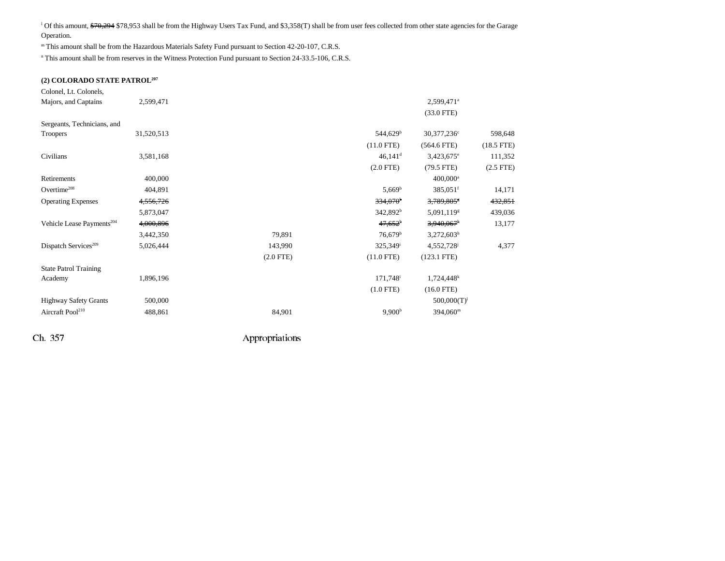<sup>1</sup> Of this amount, \$70,294 \$78,953 shall be from the Highway Users Tax Fund, and \$3,358(T) shall be from user fees collected from other state agencies for the Garage Operation.

m This amount shall be from the Hazardous Materials Safety Fund pursuant to Section 42-20-107, C.R.S.

<sup>n</sup> This amount shall be from reserves in the Witness Protection Fund pursuant to Section 24-33.5-106, C.R.S.

#### **(2) COLORADO STATE PATROL207**

| Colonel, Lt. Colonels,                |            |             |                        |                          |              |
|---------------------------------------|------------|-------------|------------------------|--------------------------|--------------|
| Majors, and Captains                  | 2,599,471  |             |                        | 2,599,471 <sup>a</sup>   |              |
|                                       |            |             |                        | $(33.0$ FTE)             |              |
| Sergeants, Technicians, and           |            |             |                        |                          |              |
| Troopers                              | 31,520,513 |             | 544,629 <sup>b</sup>   | 30,377,236 <sup>c</sup>  | 598,648      |
|                                       |            |             | $(11.0$ FTE)           | $(564.6$ FTE)            | $(18.5$ FTE) |
| Civilians                             | 3,581,168  |             | $46,141$ <sup>d</sup>  | $3,423,675$ <sup>e</sup> | 111,352      |
|                                       |            |             | $(2.0$ FTE $)$         | $(79.5$ FTE)             | $(2.5$ FTE)  |
| Retirements                           | 400,000    |             |                        | $400,000$ <sup>a</sup>   |              |
| Overtime <sup>208</sup>               | 404,891    |             | $5,669^{\rm b}$        | $385,051$ <sup>f</sup>   | 14,171       |
| <b>Operating Expenses</b>             | 4,556,726  |             | $334,070$ <sup>b</sup> | 3,789,805*               | 432,851      |
|                                       | 5,873,047  |             | 342,892 <sup>b</sup>   | 5,091,119 <sup>g</sup>   | 439,036      |
| Vehicle Lease Payments <sup>204</sup> | 4,000,896  |             | $47,652^b$             | $3,940,067$ <sup>h</sup> | 13,177       |
|                                       | 3,442,350  | 79,891      | $76,679$ <sup>b</sup>  | $3,272,603^h$            |              |
| Dispatch Services <sup>209</sup>      | 5,026,444  | 143,990     | 325,349 <sup>i</sup>   | 4,552,728                | 4,377        |
|                                       |            | $(2.0$ FTE) | $(11.0$ FTE)           | $(123.1$ FTE)            |              |
| <b>State Patrol Training</b>          |            |             |                        |                          |              |
| Academy                               | 1,896,196  |             | 171,748 <sup>i</sup>   | $1,724,448$ <sup>k</sup> |              |
|                                       |            |             | $(1.0$ FTE)            | $(16.0$ FTE)             |              |
| <b>Highway Safety Grants</b>          | 500,000    |             |                        | $500,000(T)^1$           |              |
| Aircraft Pool <sup>210</sup>          | 488,861    | 84,901      | 9,900 <sup>b</sup>     | 394,060 <sup>m</sup>     |              |
|                                       |            |             |                        |                          |              |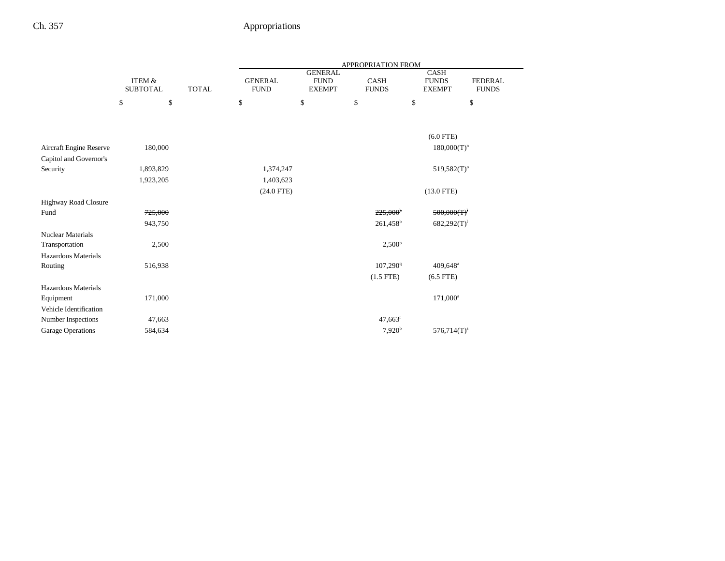|                                              |                                      |              | APPROPRIATION FROM            |                                                |                             |                                              |                                |  |
|----------------------------------------------|--------------------------------------|--------------|-------------------------------|------------------------------------------------|-----------------------------|----------------------------------------------|--------------------------------|--|
|                                              | <b>ITEM &amp;</b><br><b>SUBTOTAL</b> | <b>TOTAL</b> | <b>GENERAL</b><br><b>FUND</b> | <b>GENERAL</b><br><b>FUND</b><br><b>EXEMPT</b> | <b>CASH</b><br><b>FUNDS</b> | <b>CASH</b><br><b>FUNDS</b><br><b>EXEMPT</b> | <b>FEDERAL</b><br><b>FUNDS</b> |  |
|                                              | \$                                   | \$           | \$                            | \$                                             | \$                          | \$                                           | \$                             |  |
|                                              |                                      |              |                               |                                                |                             |                                              |                                |  |
|                                              |                                      |              |                               |                                                |                             | $(6.0$ FTE)                                  |                                |  |
| Aircraft Engine Reserve                      | 180,000                              |              |                               |                                                |                             | $180,000(T)^n$                               |                                |  |
| Capitol and Governor's                       |                                      |              |                               |                                                |                             |                                              |                                |  |
| Security                                     | 1,893,829                            |              | 1,374,247                     |                                                |                             | $519,582(T)$ <sup>o</sup>                    |                                |  |
|                                              | 1,923,205                            |              | 1,403,623                     |                                                |                             |                                              |                                |  |
|                                              |                                      |              | $(24.0$ FTE)                  |                                                |                             | $(13.0$ FTE)                                 |                                |  |
| Highway Road Closure                         |                                      |              |                               |                                                |                             |                                              |                                |  |
| Fund                                         | 725,000                              |              |                               |                                                | $225,000^{\circ}$           | 500,000(T)                                   |                                |  |
|                                              | 943,750                              |              |                               |                                                | $261,458$ <sup>b</sup>      | $682,292(T)^1$                               |                                |  |
| <b>Nuclear Materials</b>                     |                                      |              |                               |                                                |                             |                                              |                                |  |
| Transportation                               | 2,500                                |              |                               |                                                | $2,500^p$                   |                                              |                                |  |
| Hazardous Materials                          |                                      |              |                               |                                                |                             |                                              |                                |  |
| Routing                                      | 516,938                              |              |                               |                                                | 107,290 <sup>q</sup>        | 409,648 <sup>a</sup>                         |                                |  |
|                                              |                                      |              |                               |                                                | $(1.5$ FTE)                 | $(6.5$ FTE)                                  |                                |  |
| Hazardous Materials                          |                                      |              |                               |                                                |                             |                                              |                                |  |
| Equipment                                    | 171,000                              |              |                               |                                                |                             | $171,000^a$                                  |                                |  |
| Vehicle Identification<br>Number Inspections | 47,663                               |              |                               |                                                | $47,663$ <sup>r</sup>       |                                              |                                |  |
| Garage Operations                            | 584,634                              |              |                               |                                                | 7,920 <sup>b</sup>          | $576,714(T)^s$                               |                                |  |
|                                              |                                      |              |                               |                                                |                             |                                              |                                |  |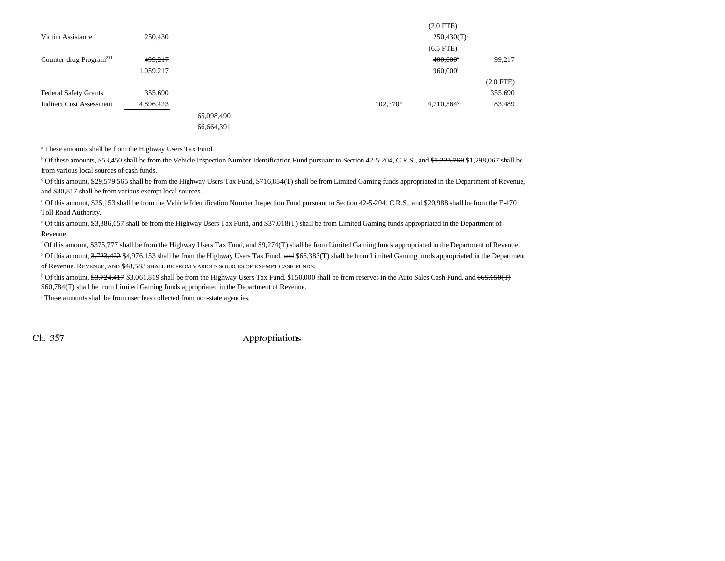|                                     |           |            |                   | (2.0 F I E)               |             |
|-------------------------------------|-----------|------------|-------------------|---------------------------|-------------|
| Victim Assistance                   | 250,430   |            |                   | $250,430(T)$ <sup>t</sup> |             |
|                                     |           |            |                   | $(6.5$ FTE)               |             |
| Counter-drug Program <sup>211</sup> | 499,217   |            |                   | $400,000$ <sup>u</sup>    | 99,217      |
|                                     | 1,059,217 |            |                   | $960,000^u$               |             |
|                                     |           |            |                   |                           | $(2.0$ FTE) |
| <b>Federal Safety Grants</b>        | 355,690   |            |                   |                           | 355,690     |
| <b>Indirect Cost Assessment</b>     | 4,896,423 |            | $102,370^{\rm b}$ | 4,710,564 <sup>v</sup>    | 83,489      |
|                                     |           | 65,098,490 |                   |                           |             |
|                                     |           | 66,664,391 |                   |                           |             |

 $(2.0 \text{ F})$ 

a These amounts shall be from the Highway Users Tax Fund.

 $\rm{^{b}}$  Of these amounts, \$53,450 shall be from the Vehicle Inspection Number Identification Fund pursuant to Section 42-5-204, C.R.S., and \$1,223,760 \$1,298,067 shall be from various local sources of cash funds.

c Of this amount, \$29,579,565 shall be from the Highway Users Tax Fund, \$716,854(T) shall be from Limited Gaming funds appropriated in the Department of Revenue, and \$80,817 shall be from various exempt local sources.

d Of this amount, \$25,153 shall be from the Vehicle Identification Number Inspection Fund pursuant to Section 42-5-204, C.R.S., and \$20,988 shall be from the E-470 Toll Road Authority.

e Of this amount, \$3,386,657 shall be from the Highway Users Tax Fund, and \$37,018(T) shall be from Limited Gaming funds appropriated in the Department of Revenue.

f Of this amount, \$375,777 shall be from the Highway Users Tax Fund, and \$9,274(T) shall be from Limited Gaming funds appropriated in the Department of Revenue.

<sup>g</sup> Of this amount, 3,723,422 \$4,976,153 shall be from the Highway Users Tax Fund, and \$66,383(T) shall be from Limited Gaming funds appropriated in the Department of Revenue. REVENUE, AND \$48,583 SHALL BE FROM VARIOUS SOURCES OF EXEMPT CASH FUNDS.

<sup>h</sup> Of this amount, \$3,724,417 \$3,061,819 shall be from the Highway Users Tax Fund, \$150,000 shall be from reserves in the Auto Sales Cash Fund, and \$65,650(T) \$60,784(T) shall be from Limited Gaming funds appropriated in the Department of Revenue.

i These amounts shall be from user fees collected from non-state agencies.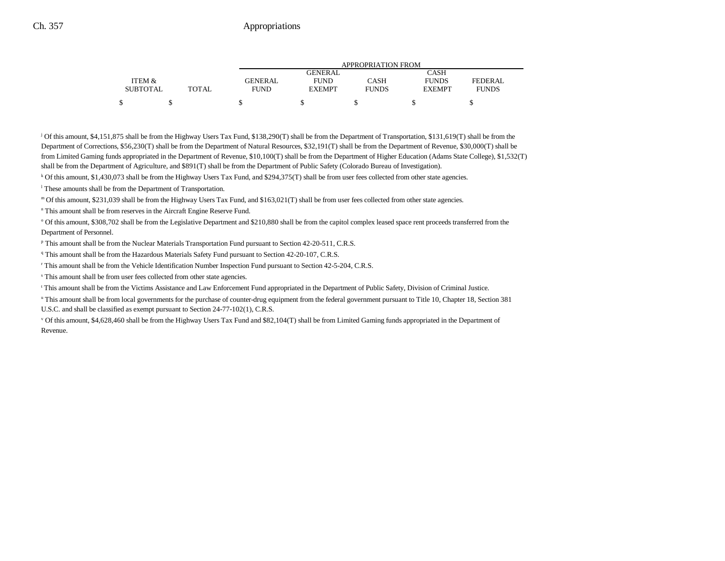|                 |              |             | APPROPRIATION FROM |              |               |                |  |  |
|-----------------|--------------|-------------|--------------------|--------------|---------------|----------------|--|--|
|                 |              |             | GENERAL            |              | CASH          |                |  |  |
| ITEM &          |              | GENERAL     | <b>FUND</b>        | CASH         | <b>FUNDS</b>  | <b>FEDERAL</b> |  |  |
| <b>SUBTOTAL</b> | <b>TOTAL</b> | <b>FUND</b> | <b>EXEMPT</b>      | <b>FUNDS</b> | <b>EXEMPT</b> | <b>FUNDS</b>   |  |  |
|                 |              |             |                    |              |               |                |  |  |

j Of this amount, \$4,151,875 shall be from the Highway Users Tax Fund, \$138,290(T) shall be from the Department of Transportation, \$131,619(T) shall be from the Department of Corrections, \$56,230(T) shall be from the Department of Natural Resources, \$32,191(T) shall be from the Department of Revenue, \$30,000(T) shall be from Limited Gaming funds appropriated in the Department of Revenue, \$10,100(T) shall be from the Department of Higher Education (Adams State College), \$1,532(T) shall be from the Department of Agriculture, and \$891(T) shall be from the Department of Public Safety (Colorado Bureau of Investigation).

k Of this amount, \$1,430,073 shall be from the Highway Users Tax Fund, and \$294,375(T) shall be from user fees collected from other state agencies.

l These amounts shall be from the Department of Transportation.

m Of this amount, \$231,039 shall be from the Highway Users Tax Fund, and \$163,021(T) shall be from user fees collected from other state agencies.

n This amount shall be from reserves in the Aircraft Engine Reserve Fund.

<sup>o</sup> Of this amount, \$308,702 shall be from the Legislative Department and \$210,880 shall be from the capitol complex leased space rent proceeds transferred from the Department of Personnel.

p This amount shall be from the Nuclear Materials Transportation Fund pursuant to Section 42-20-511, C.R.S.

q This amount shall be from the Hazardous Materials Safety Fund pursuant to Section 42-20-107, C.R.S.

r This amount shall be from the Vehicle Identification Number Inspection Fund pursuant to Section 42-5-204, C.R.S.

s This amount shall be from user fees collected from other state agencies.

t This amount shall be from the Victims Assistance and Law Enforcement Fund appropriated in the Department of Public Safety, Division of Criminal Justice.

<sup>u</sup> This amount shall be from local governments for the purchase of counter-drug equipment from the federal government pursuant to Title 10, Chapter 18, Section 381 U.S.C. and shall be classified as exempt pursuant to Section 24-77-102(1), C.R.S.

v Of this amount, \$4,628,460 shall be from the Highway Users Tax Fund and \$82,104(T) shall be from Limited Gaming funds appropriated in the Department of Revenue.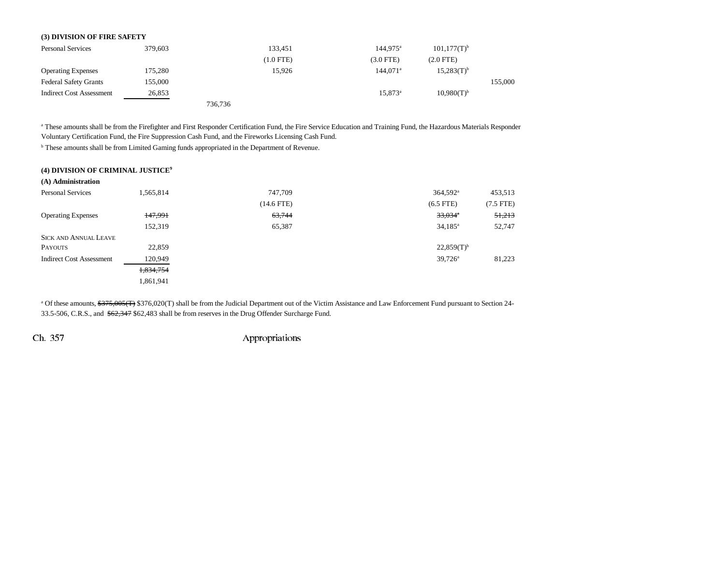#### **(3) DIVISION OF FIRE SAFETY**

| <b>Personal Services</b>     | 379,603 |         | 133,451     | $144.975^a$      | $101,177(T)^{b}$ |         |
|------------------------------|---------|---------|-------------|------------------|------------------|---------|
|                              |         |         | $(1.0$ FTE) | $(3.0$ FTE)      | $(2.0$ FTE)      |         |
| <b>Operating Expenses</b>    | 175,280 |         | 15,926      | $144.071^a$      | $15,283(T)^{b}$  |         |
| <b>Federal Safety Grants</b> | 155,000 |         |             |                  |                  | 155,000 |
| Indirect Cost Assessment     | 26,853  |         |             | $15.873^{\circ}$ | $10,980(T)^{b}$  |         |
|                              |         | 736,736 |             |                  |                  |         |

a These amounts shall be from the Firefighter and First Responder Certification Fund, the Fire Service Education and Training Fund, the Hazardous Materials Responder Voluntary Certification Fund, the Fire Suppression Cash Fund, and the Fireworks Licensing Cash Fund.

**b** These amounts shall be from Limited Gaming funds appropriated in the Department of Revenue.

|  |  |  | (4) DIVISION OF CRIMINAL JUSTICE <sup>9</sup> |  |
|--|--|--|-----------------------------------------------|--|
|--|--|--|-----------------------------------------------|--|

| (A) Administration              |           |              |                          |             |
|---------------------------------|-----------|--------------|--------------------------|-------------|
| <b>Personal Services</b>        | 1,565,814 | 747,709      | 364,592 <sup>a</sup>     | 453,513     |
|                                 |           | $(14.6$ FTE) | $(6.5$ FTE)              | $(7.5$ FTE) |
| <b>Operating Expenses</b>       | 147,991   | 63,744       | $33,034$ <sup>*</sup>    | 51,213      |
|                                 | 152,319   | 65,387       | $34,185^a$               | 52,747      |
| <b>SICK AND ANNUAL LEAVE</b>    |           |              |                          |             |
| <b>PAYOUTS</b>                  | 22,859    |              | $22,859(T)$ <sup>b</sup> |             |
| <b>Indirect Cost Assessment</b> | 120,949   |              | $39,726^{\circ}$         | 81,223      |
|                                 | 1,834,754 |              |                          |             |
|                                 | 1,861,941 |              |                          |             |

<sup>a</sup> Of these amounts, <del>\$375,005(T)</del> \$376,020(T) shall be from the Judicial Department out of the Victim Assistance and Law Enforcement Fund pursuant to Section 24-33.5-506, C.R.S., and \$62,347 \$62,483 shall be from reserves in the Drug Offender Surcharge Fund.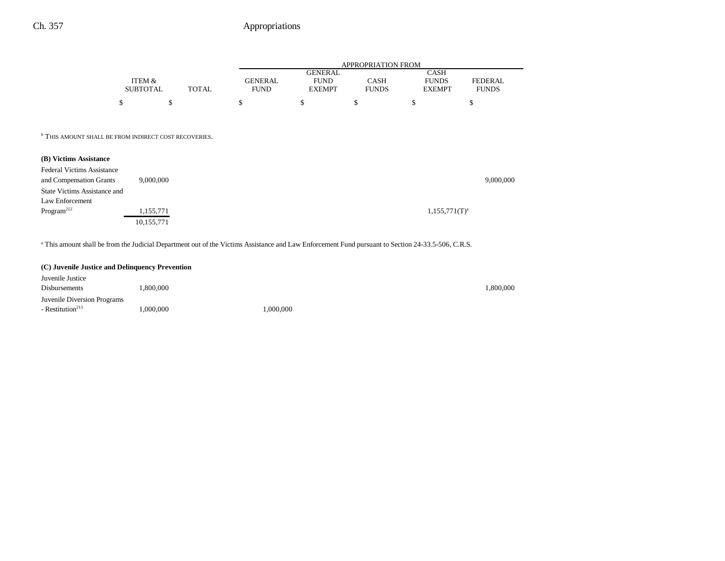|                 |       |             | APPROPRIATION FROM |              |               |              |  |  |
|-----------------|-------|-------------|--------------------|--------------|---------------|--------------|--|--|
|                 |       |             | <b>GENERAL</b>     |              | CASH          |              |  |  |
| ITEM &          |       | GENERAL     | <b>FUND</b>        | CASH         | <b>FUNDS</b>  | FEDERAL      |  |  |
| <b>SUBTOTAL</b> | TOTAL | <b>FUND</b> | <b>EXEMPT</b>      | <b>FUNDS</b> | <b>EXEMPT</b> | <b>FUNDS</b> |  |  |
| ¢               |       |             |                    |              |               |              |  |  |

**b THIS AMOUNT SHALL BE FROM INDIRECT COST RECOVERIES.** 

| (B) Victims Assistance              |            |                    |           |
|-------------------------------------|------------|--------------------|-----------|
| <b>Federal Victims Assistance</b>   |            |                    |           |
| and Compensation Grants             | 9,000,000  |                    | 9,000,000 |
| <b>State Victims Assistance and</b> |            |                    |           |
| Law Enforcement                     |            |                    |           |
| Program <sup>212</sup>              | 1,155,771  | $1,155,771(T)^{a}$ |           |
|                                     | 10,155,771 |                    |           |

a This amount shall be from the Judicial Department out of the Victims Assistance and Law Enforcement Fund pursuant to Section 24-33.5-506, C.R.S.

#### **(C) Juvenile Justice and Delinquency Prevention**

| Juvenile Justice             |          |          |          |
|------------------------------|----------|----------|----------|
| Disbursements                | .800.000 |          | ,800,000 |
| Juvenile Diversion Programs  |          |          |          |
| - Restitution <sup>213</sup> | .000.000 | .000.000 |          |
|                              |          |          |          |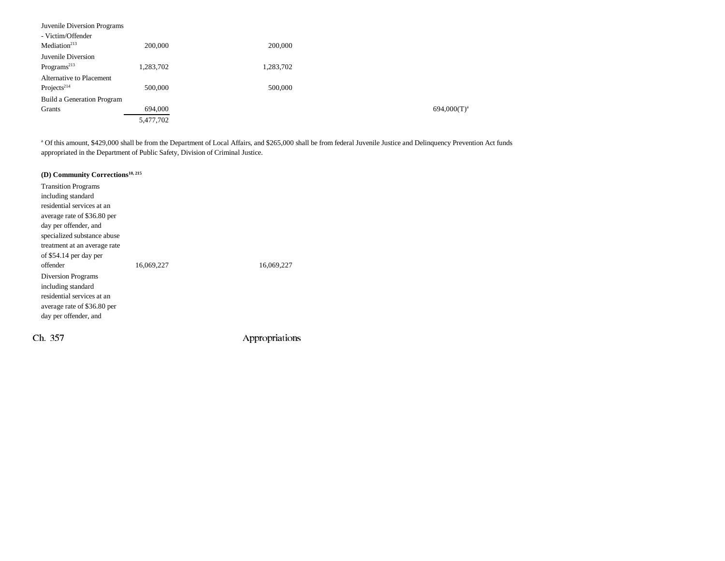| Juvenile Diversion Programs |           |           |                |
|-----------------------------|-----------|-----------|----------------|
| - Victim/Offender           |           |           |                |
| Median <sup>213</sup>       | 200,000   | 200,000   |                |
| Juvenile Diversion          |           |           |                |
| Programs <sup>213</sup>     | 1,283,702 | 1,283,702 |                |
| Alternative to Placement    |           |           |                |
| Projects <sup>214</sup>     | 500,000   | 500,000   |                |
| Build a Generation Program  |           |           |                |
| Grants                      | 694,000   |           | $694,000(T)^a$ |
|                             | 5,477,702 |           |                |

<sup>a</sup> Of this amount, \$429,000 shall be from the Department of Local Affairs, and \$265,000 shall be from federal Juvenile Justice and Delinquency Prevention Act funds appropriated in the Department of Public Safety, Division of Criminal Justice.

## **(D) Community Corrections10, 215**

| <b>Transition Programs</b>   |            |            |
|------------------------------|------------|------------|
| including standard           |            |            |
| residential services at an   |            |            |
| average rate of \$36.80 per  |            |            |
| day per offender, and        |            |            |
| specialized substance abuse  |            |            |
| treatment at an average rate |            |            |
| of \$54.14 per day per       |            |            |
|                              |            |            |
| offender                     | 16,069,227 | 16,069,227 |
| Diversion Programs           |            |            |
| including standard           |            |            |
| residential services at an   |            |            |
| average rate of \$36.80 per  |            |            |
| day per offender, and        |            |            |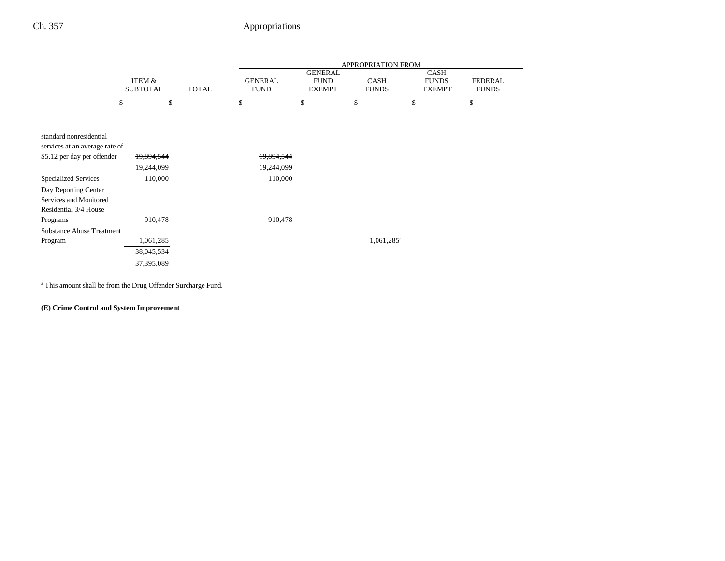$\overline{\phantom{0}}$ 

|                                                           |                           |              |                               |                                                | APPROPRIATION FROM          |                                              |                                |
|-----------------------------------------------------------|---------------------------|--------------|-------------------------------|------------------------------------------------|-----------------------------|----------------------------------------------|--------------------------------|
|                                                           | ITEM &<br><b>SUBTOTAL</b> | <b>TOTAL</b> | <b>GENERAL</b><br><b>FUND</b> | <b>GENERAL</b><br><b>FUND</b><br><b>EXEMPT</b> | <b>CASH</b><br><b>FUNDS</b> | <b>CASH</b><br><b>FUNDS</b><br><b>EXEMPT</b> | <b>FEDERAL</b><br><b>FUNDS</b> |
| \$                                                        | \$                        |              | \$                            | \$                                             | \$                          | \$                                           | \$                             |
|                                                           |                           |              |                               |                                                |                             |                                              |                                |
|                                                           |                           |              |                               |                                                |                             |                                              |                                |
| standard nonresidential<br>services at an average rate of |                           |              |                               |                                                |                             |                                              |                                |
| \$5.12 per day per offender                               | 19,894,544                |              | 19,894,544                    |                                                |                             |                                              |                                |
|                                                           | 19,244,099                |              | 19,244,099                    |                                                |                             |                                              |                                |
|                                                           |                           |              |                               |                                                |                             |                                              |                                |
| <b>Specialized Services</b>                               | 110,000                   |              | 110,000                       |                                                |                             |                                              |                                |
| Day Reporting Center                                      |                           |              |                               |                                                |                             |                                              |                                |
| Services and Monitored                                    |                           |              |                               |                                                |                             |                                              |                                |
| Residential 3/4 House                                     |                           |              |                               |                                                |                             |                                              |                                |
| Programs                                                  | 910,478                   |              | 910,478                       |                                                |                             |                                              |                                |
| <b>Substance Abuse Treatment</b>                          |                           |              |                               |                                                |                             |                                              |                                |
| Program                                                   | 1,061,285                 |              |                               |                                                | $1,061,285$ <sup>a</sup>    |                                              |                                |
|                                                           | 38,045,534                |              |                               |                                                |                             |                                              |                                |
|                                                           | 37,395,089                |              |                               |                                                |                             |                                              |                                |

a This amount shall be from the Drug Offender Surcharge Fund.

#### **(E) Crime Control and System Improvement**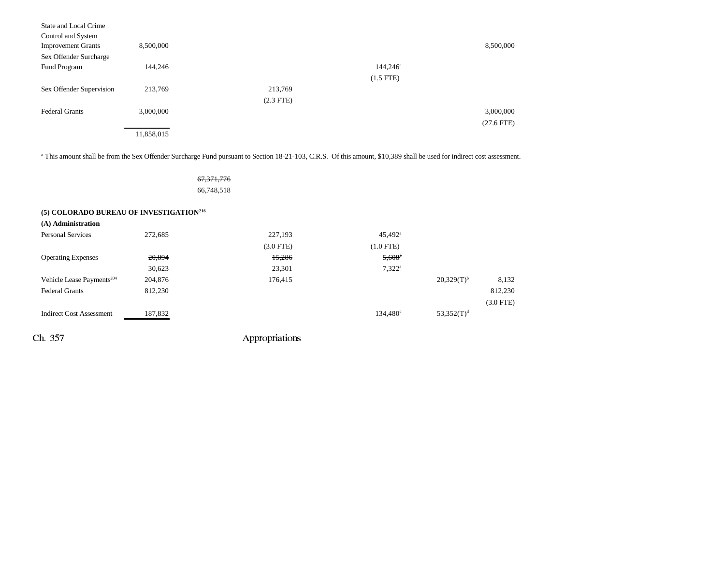| State and Local Crime     |            |             |                   |              |
|---------------------------|------------|-------------|-------------------|--------------|
| Control and System        |            |             |                   |              |
| <b>Improvement Grants</b> | 8,500,000  |             |                   | 8,500,000    |
| Sex Offender Surcharge    |            |             |                   |              |
| Fund Program              | 144,246    |             | $144,246^{\circ}$ |              |
|                           |            |             | $(1.5$ FTE)       |              |
| Sex Offender Supervision  | 213,769    | 213,769     |                   |              |
|                           |            | $(2.3$ FTE) |                   |              |
| <b>Federal Grants</b>     | 3,000,000  |             |                   | 3,000,000    |
|                           |            |             |                   | $(27.6$ FTE) |
|                           | 11,858,015 |             |                   |              |

<sup>a</sup> This amount shall be from the Sex Offender Surcharge Fund pursuant to Section 18-21-103, C.R.S. Of this amount, \$10,389 shall be used for indirect cost assessment.

67,371,776 66,748,518

| (5) COLORADO BUREAU OF INVESTIGATION <sup>216</sup> |
|-----------------------------------------------------|
| $(A)$ Administration                                |

| (A) Administration                    |         |                |                       |                 |             |  |
|---------------------------------------|---------|----------------|-----------------------|-----------------|-------------|--|
| <b>Personal Services</b>              | 272,685 | 227,193        | $45,492$ <sup>a</sup> |                 |             |  |
|                                       |         | $(3.0$ FTE $)$ | $(1.0$ FTE)           |                 |             |  |
| <b>Operating Expenses</b>             | 20,894  | 15,286         | $5,608$ <sup>a</sup>  |                 |             |  |
|                                       | 30,623  | 23,301         | $7,322^a$             |                 |             |  |
| Vehicle Lease Payments <sup>204</sup> | 204,876 | 176,415        |                       | $20,329(T)^{b}$ | 8,132       |  |
| <b>Federal Grants</b>                 | 812,230 |                |                       |                 | 812,230     |  |
|                                       |         |                |                       |                 | $(3.0$ FTE) |  |
| <b>Indirect Cost Assessment</b>       | 187,832 |                | $134,480^{\circ}$     | $53,352(T)^d$   |             |  |
|                                       |         |                |                       |                 |             |  |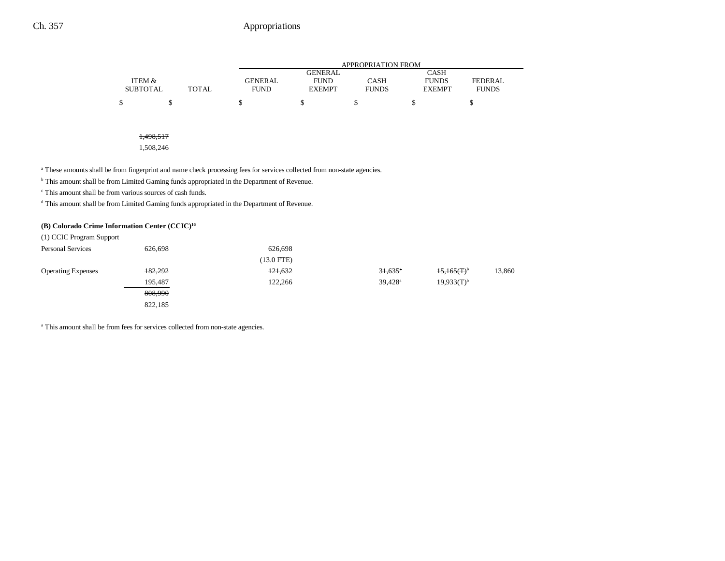|                 |              |             |                | APPROPRIATION FROM |               |                |
|-----------------|--------------|-------------|----------------|--------------------|---------------|----------------|
|                 |              |             | <b>GENERAL</b> |                    | <b>CASH</b>   |                |
| ITEM &          |              | GENERAL     | <b>FUND</b>    | <b>CASH</b>        | <b>FUNDS</b>  | <b>FEDERAL</b> |
| <b>SUBTOTAL</b> | <b>TOTAL</b> | <b>FUND</b> | <b>EXEMPT</b>  | <b>FUNDS</b>       | <b>EXEMPT</b> | <b>FUNDS</b>   |
|                 |              |             |                |                    |               |                |
|                 |              |             |                |                    |               |                |

1,498,517

1,508,246

<sup>a</sup> These amounts shall be from fingerprint and name check processing fees for services collected from non-state agencies.

**b** This amount shall be from Limited Gaming funds appropriated in the Department of Revenue.

c This amount shall be from various sources of cash funds.

<sup>d</sup> This amount shall be from Limited Gaming funds appropriated in the Department of Revenue.

#### **(B) Colorado Crime Information Center (CCIC)16**

| (1) CCIC Program Support  |         |              |                       |                          |        |
|---------------------------|---------|--------------|-----------------------|--------------------------|--------|
| <b>Personal Services</b>  | 626,698 | 626,698      |                       |                          |        |
|                           |         | $(13.0$ FTE) |                       |                          |        |
| <b>Operating Expenses</b> | 182,292 | 121,632      | $31,635$ <sup>*</sup> | $15,165(T)$ <sup>b</sup> | 13,860 |
|                           | 195.487 | 122,266      | $39.428$ <sup>a</sup> | $19.933(T)^{b}$          |        |
|                           | 808,990 |              |                       |                          |        |
|                           | 822,185 |              |                       |                          |        |
|                           |         |              |                       |                          |        |

a This amount shall be from fees for services collected from non-state agencies.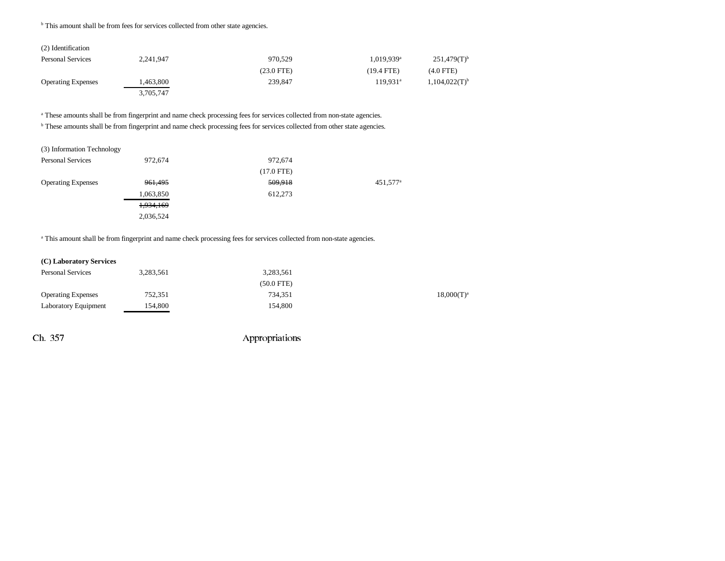**b** This amount shall be from fees for services collected from other state agencies.

| (2) Identification        |           |              |                        |                           |
|---------------------------|-----------|--------------|------------------------|---------------------------|
| <b>Personal Services</b>  | 2,241,947 | 970.529      | 1,019,939 <sup>a</sup> | $251,479(T)$ <sup>b</sup> |
|                           |           | $(23.0$ FTE) | $(19.4 \text{ FTE})$   | $(4.0$ FTE)               |
| <b>Operating Expenses</b> | ,463,800  | 239,847      | 119.931 <sup>a</sup>   | $1,104,022(T)^{b}$        |
|                           | 3,705,747 |              |                        |                           |

<sup>a</sup> These amounts shall be from fingerprint and name check processing fees for services collected from non-state agencies.

**b** These amounts shall be from fingerprint and name check processing fees for services collected from other state agencies.

| (3) Information Technology |           |              |                      |
|----------------------------|-----------|--------------|----------------------|
| <b>Personal Services</b>   | 972,674   | 972,674      |                      |
|                            |           | $(17.0$ FTE) |                      |
| <b>Operating Expenses</b>  | 961,495   | 509,918      | 451,577 <sup>a</sup> |
|                            | 1,063,850 | 612,273      |                      |
|                            | 1,934,169 |              |                      |
|                            | 2,036,524 |              |                      |

<sup>a</sup> This amount shall be from fingerprint and name check processing fees for services collected from non-state agencies.

| (C) Laboratory Services     |           |              |
|-----------------------------|-----------|--------------|
| <b>Personal Services</b>    | 3,283,561 | 3,283,561    |
|                             |           | $(50.0$ FTE) |
| <b>Operating Expenses</b>   | 752,351   | 734,351      |
| <b>Laboratory Equipment</b> | 154,800   | 154,800      |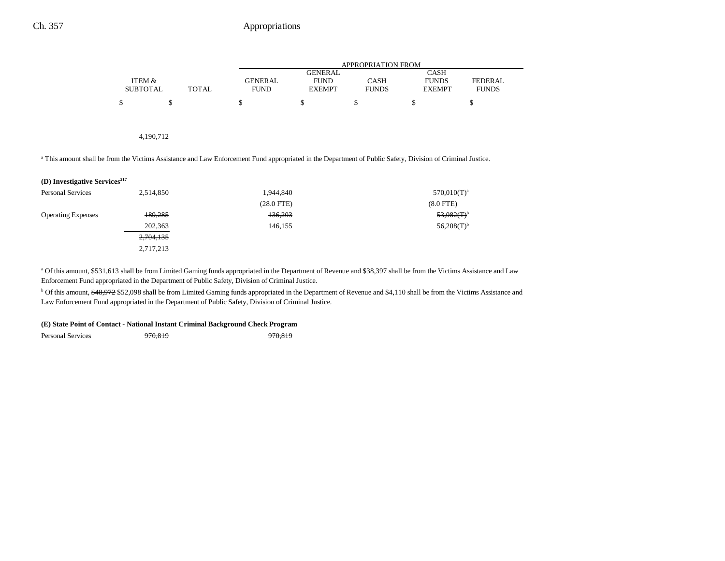|                 |       |                | APPROPRIATION FROM |              |               |                |  |  |
|-----------------|-------|----------------|--------------------|--------------|---------------|----------------|--|--|
|                 |       |                | <b>GENERAL</b>     |              | CASH          |                |  |  |
| ITEM &          |       | <b>GENERAL</b> | <b>FUND</b>        | CASH         | <b>FUNDS</b>  | <b>FEDERAL</b> |  |  |
| <b>SUBTOTAL</b> | TOTAL | <b>FUND</b>    | <b>EXEMPT</b>      | <b>FUNDS</b> | <b>EXEMPT</b> | <b>FUNDS</b>   |  |  |
| ¢               |       |                |                    |              |               |                |  |  |

#### 4,190,712

a This amount shall be from the Victims Assistance and Law Enforcement Fund appropriated in the Department of Public Safety, Division of Criminal Justice.

| (D) Investigative Services <sup>217</sup> |  |
|-------------------------------------------|--|
|-------------------------------------------|--|

| <b>Personal Services</b>  | 2,514,850 | 1,944,840    | $570,010(T)^a$            |
|---------------------------|-----------|--------------|---------------------------|
|                           |           | $(28.0$ FTE) | $(8.0$ FTE)               |
| <b>Operating Expenses</b> | 189,285   | 136,203      | $53,082$ (T) <sup>b</sup> |
|                           | 202,363   | 146.155      | $56,208(T)$ <sup>b</sup>  |
|                           | 2,704,135 |              |                           |
|                           | 2,717,213 |              |                           |

a Of this amount, \$531,613 shall be from Limited Gaming funds appropriated in the Department of Revenue and \$38,397 shall be from the Victims Assistance and Law Enforcement Fund appropriated in the Department of Public Safety, Division of Criminal Justice.

<sup>b</sup> Of this amount, \$48,972 \$52,098 shall be from Limited Gaming funds appropriated in the Department of Revenue and \$4,110 shall be from the Victims Assistance and Law Enforcement Fund appropriated in the Department of Public Safety, Division of Criminal Justice.

#### **(E) State Point of Contact - National Instant Criminal Background Check Program**

Personal Services 970,819 970,819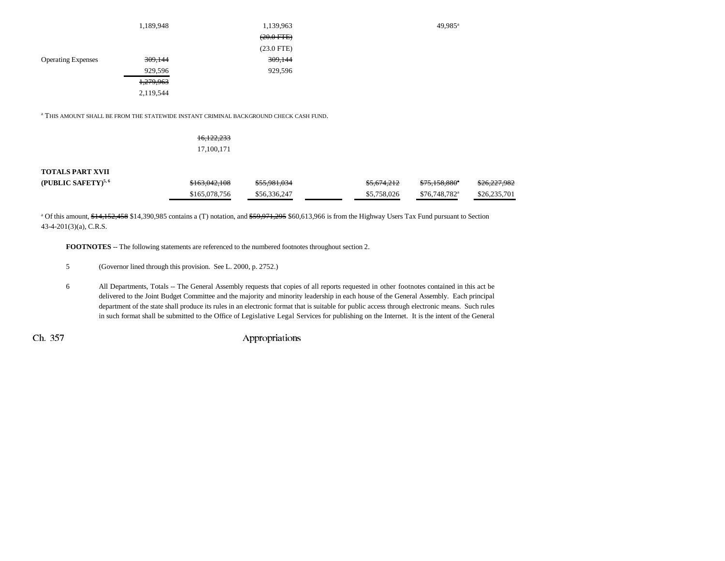|                           | 1,189,948 | 1,139,963       | 49,985 <sup>a</sup> |
|---------------------------|-----------|-----------------|---------------------|
|                           |           | $(20.0$ FTE $)$ |                     |
|                           |           | $(23.0$ FTE)    |                     |
| <b>Operating Expenses</b> | 309,144   | 309,144         |                     |
|                           | 929,596   | 929,596         |                     |
|                           | 1,279,963 |                 |                     |
|                           | 2,119,544 |                 |                     |
|                           |           |                 |                     |

a THIS AMOUNT SHALL BE FROM THE STATEWIDE INSTANT CRIMINAL BACKGROUND CHECK CASH FUND.

| 16,122,233 |  |
|------------|--|
| 17,100,171 |  |

#### **TOTALS PART XVII**

| (PUBLIC SAFETY) $5,6$ | \$163,042,108 | \$55,981,034 | <del>\$5,674,212</del> | <del>\$75.158.880</del> * | \$26,227,982 |
|-----------------------|---------------|--------------|------------------------|---------------------------|--------------|
|                       | \$165,078,756 | \$56,336,247 | \$5,758,026            | \$76,748,782 <sup>a</sup> | \$26,235,701 |

<sup>a</sup> Of this amount, \$14,152,458 \$14,390,985 contains a (T) notation, and \$59,971,295 \$60,613,966 is from the Highway Users Tax Fund pursuant to Section 43-4-201(3)(a), C.R.S.

**FOOTNOTES** -- The following statements are referenced to the numbered footnotes throughout section 2.

- 5 (Governor lined through this provision. See L. 2000, p. 2752.)
- 6 All Departments, Totals -- The General Assembly requests that copies of all reports requested in other footnotes contained in this act be delivered to the Joint Budget Committee and the majority and minority leadership in each house of the General Assembly. Each principal department of the state shall produce its rules in an electronic format that is suitable for public access through electronic means. Such rules in such format shall be submitted to the Office of Legislative Legal Services for publishing on the Internet. It is the intent of the General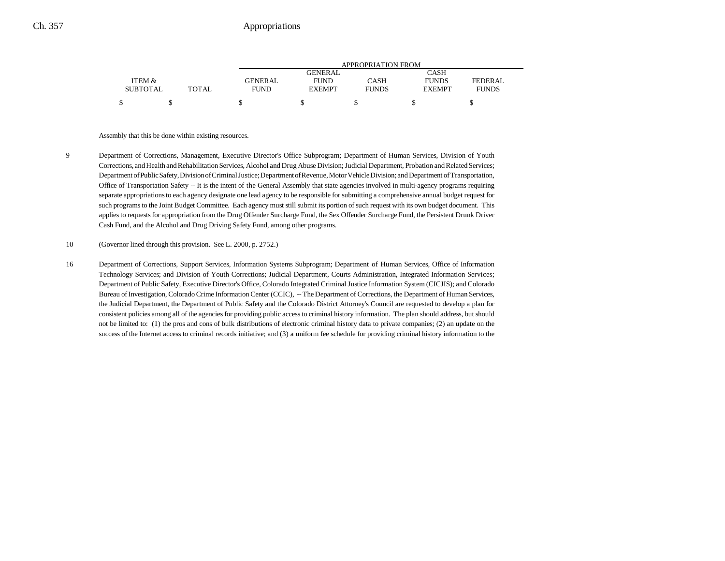|                 |              |                | APPROPRIATION FROM |              |               |                |  |  |
|-----------------|--------------|----------------|--------------------|--------------|---------------|----------------|--|--|
|                 |              |                | GENERAL            |              | CASH          |                |  |  |
| ITEM &          |              | <b>GENERAL</b> | <b>FUND</b>        | CASH         | <b>FUNDS</b>  | <b>FEDERAL</b> |  |  |
| <b>SUBTOTAL</b> | <b>TOTAL</b> | FUND           | <b>EXEMPT</b>      | <b>FUNDS</b> | <b>EXEMPT</b> | <b>FUNDS</b>   |  |  |
| ¢               |              |                |                    |              |               |                |  |  |

#### Assembly that this be done within existing resources.

- 9 Department of Corrections, Management, Executive Director's Office Subprogram; Department of Human Services, Division of Youth Corrections, and Health and Rehabilitation Services, Alcohol and Drug Abuse Division; Judicial Department, Probation and Related Services; Department of Public Safety, Division of Criminal Justice; Department of Revenue, Motor Vehicle Division; and Department of Transportation, Office of Transportation Safety -- It is the intent of the General Assembly that state agencies involved in multi-agency programs requiring separate appropriations to each agency designate one lead agency to be responsible for submitting a comprehensive annual budget request for such programs to the Joint Budget Committee. Each agency must still submit its portion of such request with its own budget document. This applies to requests for appropriation from the Drug Offender Surcharge Fund, the Sex Offender Surcharge Fund, the Persistent Drunk Driver Cash Fund, and the Alcohol and Drug Driving Safety Fund, among other programs.
- 10 (Governor lined through this provision. See L. 2000, p. 2752.)
- 16 Department of Corrections, Support Services, Information Systems Subprogram; Department of Human Services, Office of Information Technology Services; and Division of Youth Corrections; Judicial Department, Courts Administration, Integrated Information Services; Department of Public Safety, Executive Director's Office, Colorado Integrated Criminal Justice Information System (CICJIS); and Colorado Bureau of Investigation, Colorado Crime Information Center (CCIC), -- The Department of Corrections, the Department of Human Services, the Judicial Department, the Department of Public Safety and the Colorado District Attorney's Council are requested to develop a plan for consistent policies among all of the agencies for providing public access to criminal history information. The plan should address, but should not be limited to: (1) the pros and cons of bulk distributions of electronic criminal history data to private companies; (2) an update on the success of the Internet access to criminal records initiative; and (3) a uniform fee schedule for providing criminal history information to the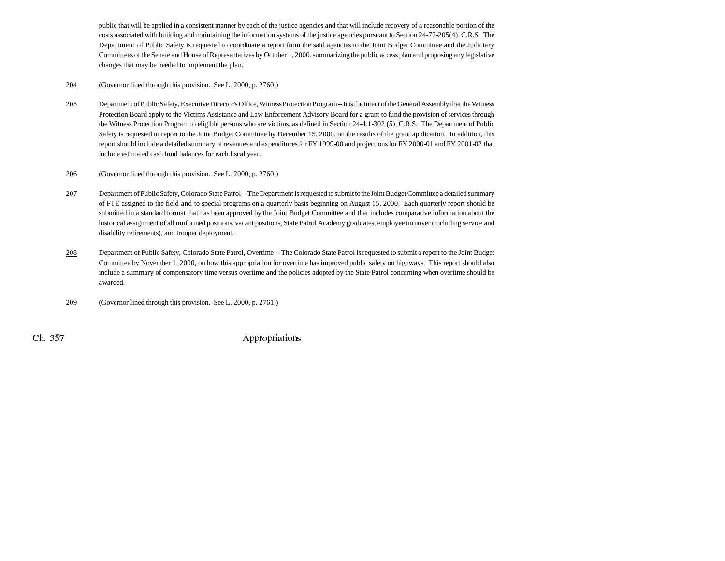public that will be applied in a consistent manner by each of the justice agencies and that will include recovery of a reasonable portion of the costs associated with building and maintaining the information systems of the justice agencies pursuant to Section 24-72-205(4), C.R.S. The Department of Public Safety is requested to coordinate a report from the said agencies to the Joint Budget Committee and the Judiciary Committees of the Senate and House of Representatives by October 1, 2000, summarizing the public access plan and proposing any legislative changes that may be needed to implement the plan.

204 (Governor lined through this provision. See L. 2000, p. 2760.)

- 205 Department of Public Safety, Executive Director's Office, Witness Protection Program -- It is the intent of the General Assembly that the Witness Protection Board apply to the Victims Assistance and Law Enforcement Advisory Board for a grant to fund the provision of services through the Witness Protection Program to eligible persons who are victims, as defined in Section 24-4.1-302 (5), C.R.S. The Department of Public Safety is requested to report to the Joint Budget Committee by December 15, 2000, on the results of the grant application. In addition, this report should include a detailed summary of revenues and expenditures for FY 1999-00 and projections for FY 2000-01 and FY 2001-02 that include estimated cash fund balances for each fiscal year.
- 206 (Governor lined through this provision. See L. 2000, p. 2760.)
- 207 Department of Public Safety, Colorado State Patrol -- The Department is requested to submit to the Joint Budget Committee a detailed summary of FTE assigned to the field and to special programs on a quarterly basis beginning on August 15, 2000. Each quarterly report should be submitted in a standard format that has been approved by the Joint Budget Committee and that includes comparative information about the historical assignment of all uniformed positions, vacant positions, State Patrol Academy graduates, employee turnover (including service and disability retirements), and trooper deployment.
- 208Department of Public Safety, Colorado State Patrol, Overtime -- The Colorado State Patrol is requested to submit a report to the Joint Budget Committee by November 1, 2000, on how this appropriation for overtime has improved public safety on highways. This report should also include a summary of compensatory time versus overtime and the policies adopted by the State Patrol concerning when overtime should be awarded.
- 209 (Governor lined through this provision. See L. 2000, p. 2761.)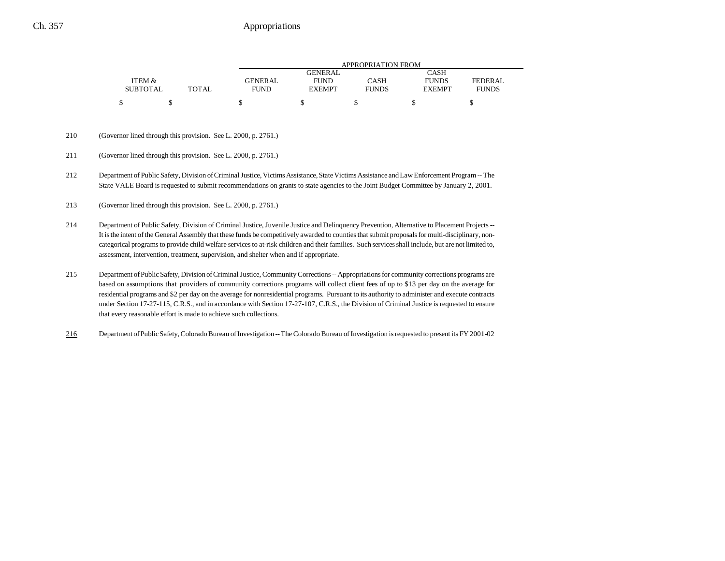|                 |       | APPROPRIATION FROM |               |              |               |                |  |
|-----------------|-------|--------------------|---------------|--------------|---------------|----------------|--|
|                 |       |                    | GENERAL       |              | CASH          |                |  |
| ITEM &          |       | <b>GENERAL</b>     | <b>FUND</b>   | CASH         | <b>FUNDS</b>  | <b>FEDERAL</b> |  |
| <b>SUBTOTAL</b> | TOTAL | FUND               | <b>EXEMPT</b> | <b>FUNDS</b> | <b>EXEMPT</b> | <b>FUNDS</b>   |  |
|                 |       |                    |               |              |               |                |  |

#### 210 (Governor lined through this provision. See L. 2000, p. 2761.)

- 211 (Governor lined through this provision. See L. 2000, p. 2761.)
- 212 Department of Public Safety, Division of Criminal Justice, Victims Assistance, State Victims Assistance and Law Enforcement Program -- The State VALE Board is requested to submit recommendations on grants to state agencies to the Joint Budget Committee by January 2, 2001.

213 (Governor lined through this provision. See L. 2000, p. 2761.)

- 214 Department of Public Safety, Division of Criminal Justice, Juvenile Justice and Delinquency Prevention, Alternative to Placement Projects -- It is the intent of the General Assembly that these funds be competitively awarded to counties that submit proposals for multi-disciplinary, noncategorical programs to provide child welfare services to at-risk children and their families. Such services shall include, but are not limited to, assessment, intervention, treatment, supervision, and shelter when and if appropriate.
- 215 Department of Public Safety, Division of Criminal Justice, Community Corrections -- Appropriations for community corrections programs are based on assumptions that providers of community corrections programs will collect client fees of up to \$13 per day on the average for residential programs and \$2 per day on the average for nonresidential programs. Pursuant to its authority to administer and execute contracts under Section 17-27-115, C.R.S., and in accordance with Section 17-27-107, C.R.S., the Division of Criminal Justice is requested to ensure that every reasonable effort is made to achieve such collections.
- 216Department of Public Safety, Colorado Bureau of Investigation -- The Colorado Bureau of Investigation is requested to present its FY 2001-02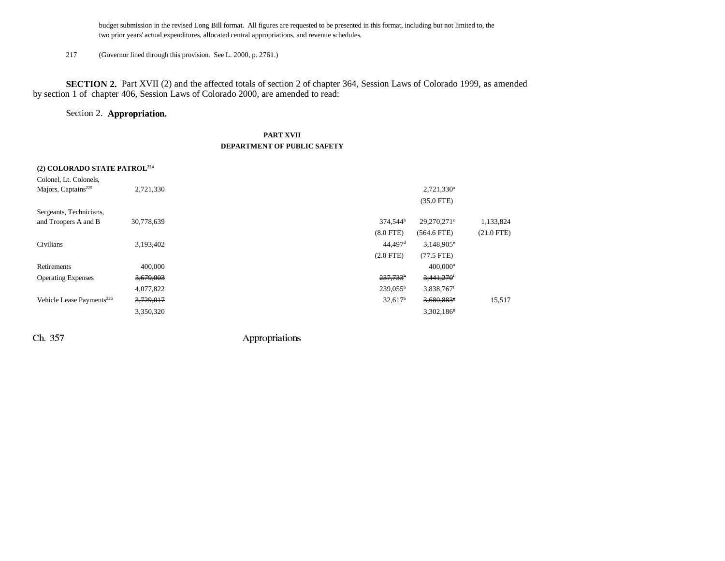budget submission in the revised Long Bill format. All figures are requested to be presented in this format, including but not limited to, the two prior years' actual expenditures, allocated central appropriations, and revenue schedules.

217 (Governor lined through this provision. See L. 2000, p. 2761.)

**SECTION 2.** Part XVII (2) and the affected totals of section 2 of chapter 364, Session Laws of Colorado 1999, as amended by section 1 of chapter 406, Session Laws of Colorado 2000, are amended to read:

#### Section 2. **Appropriation.**

### **PART XVII DEPARTMENT OF PUBLIC SAFETY**

| (2) COLORADO STATE PATROL <sup>224</sup> |            |                                              |              |
|------------------------------------------|------------|----------------------------------------------|--------------|
| Colonel, Lt. Colonels,                   |            |                                              |              |
| Majors, Captains <sup>225</sup>          | 2,721,330  | $2,721,330^a$                                |              |
|                                          |            | $(35.0$ FTE)                                 |              |
| Sergeants, Technicians,                  |            |                                              |              |
| and Troopers A and B                     | 30,778,639 | 374,544 <sup>b</sup><br>29,270,271°          | 1,133,824    |
|                                          |            | $(8.0$ FTE)<br>$(564.6$ FTE)                 | $(21.0$ FTE) |
| Civilians                                | 3,193,402  | $44,497$ <sup>d</sup><br>$3,148,905^{\circ}$ |              |
|                                          |            | $(2.0$ FTE $)$<br>$(77.5$ FTE)               |              |
| Retirements                              | 400,000    | $400.000$ <sup>a</sup>                       |              |
| <b>Operating Expenses</b>                | 3,679,003  | $237,733$ <sup>b</sup><br>3,441,270          |              |
|                                          | 4,077,822  | $239,055^{\rm b}$<br>3,838,767f              |              |
| Vehicle Lease Payments <sup>226</sup>    | 3,729,017  | $32,617^b$<br>3,680,883                      | 15,517       |
|                                          | 3,350,320  | $3,302,186$ <sup>g</sup>                     |              |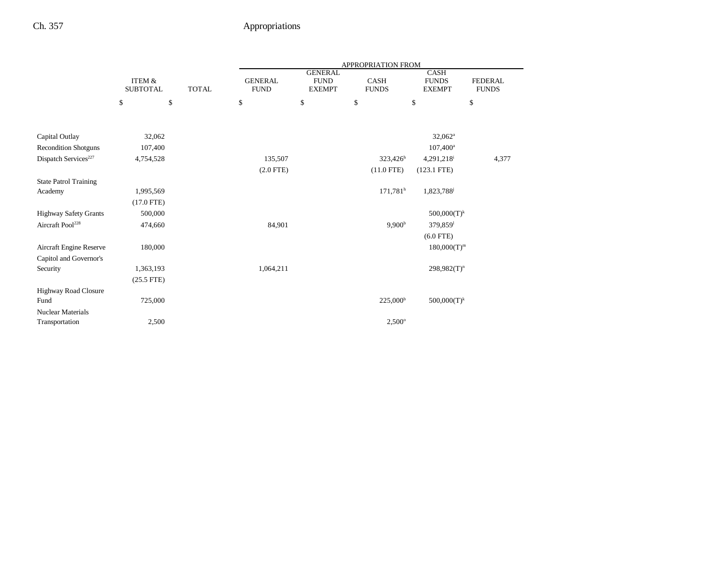|                                  |                           |              | <b>APPROPRIATION FROM</b>     |                                                |                        |                                              |                                |
|----------------------------------|---------------------------|--------------|-------------------------------|------------------------------------------------|------------------------|----------------------------------------------|--------------------------------|
|                                  | ITEM &<br><b>SUBTOTAL</b> | <b>TOTAL</b> | <b>GENERAL</b><br><b>FUND</b> | <b>GENERAL</b><br><b>FUND</b><br><b>EXEMPT</b> | CASH<br><b>FUNDS</b>   | <b>CASH</b><br><b>FUNDS</b><br><b>EXEMPT</b> | <b>FEDERAL</b><br><b>FUNDS</b> |
|                                  | \$<br>\$                  |              | \$                            | \$                                             | $\mathbb{S}$           | \$                                           | \$                             |
|                                  |                           |              |                               |                                                |                        |                                              |                                |
| Capital Outlay                   | 32,062                    |              |                               |                                                |                        | $32,062^a$                                   |                                |
| <b>Recondition Shotguns</b>      | 107,400                   |              |                               |                                                |                        | $107,400^{\rm a}$                            |                                |
| Dispatch Services <sup>227</sup> | 4,754,528                 |              | 135,507                       |                                                | $323,426^h$            | 4,291,218                                    | 4,377                          |
|                                  |                           |              | $(2.0$ FTE)                   |                                                | $(11.0$ FTE)           | $(123.1$ FTE)                                |                                |
| <b>State Patrol Training</b>     |                           |              |                               |                                                |                        |                                              |                                |
| Academy                          | 1,995,569                 |              |                               |                                                | $171,781$ <sup>h</sup> | 1,823,788                                    |                                |
|                                  | $(17.0$ FTE)              |              |                               |                                                |                        |                                              |                                |
| <b>Highway Safety Grants</b>     | 500,000                   |              |                               |                                                |                        | $500,000(T)^k$                               |                                |
| Aircraft Pool <sup>228</sup>     | 474,660                   |              | 84,901                        |                                                | 9,900 <sup>b</sup>     | 379,859 <sup>1</sup>                         |                                |
|                                  |                           |              |                               |                                                |                        | $(6.0$ FTE)                                  |                                |
| Aircraft Engine Reserve          | 180,000                   |              |                               |                                                |                        | $180,000(T)^m$                               |                                |
| Capitol and Governor's           |                           |              |                               |                                                |                        |                                              |                                |
| Security                         | 1,363,193                 |              | 1,064,211                     |                                                |                        | $298,982(T)^n$                               |                                |
|                                  | $(25.5$ FTE)              |              |                               |                                                |                        |                                              |                                |
| Highway Road Closure             |                           |              |                               |                                                |                        |                                              |                                |
| Fund                             | 725,000                   |              |                               |                                                | $225,000^{\rm b}$      | $500,000(T)^k$                               |                                |
| Nuclear Materials                |                           |              |                               |                                                |                        |                                              |                                |
| Transportation                   | 2,500                     |              |                               |                                                | $2,500^{\circ}$        |                                              |                                |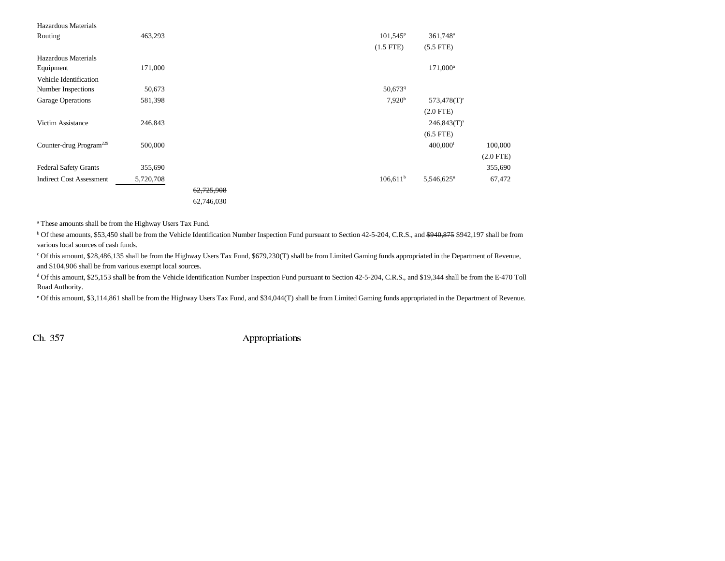| 463,293   |            | 101,545 <sup>p</sup> | 361,748 <sup>a</sup>   |             |
|-----------|------------|----------------------|------------------------|-------------|
|           |            | $(1.5$ FTE)          | $(5.5$ FTE)            |             |
|           |            |                      |                        |             |
| 171,000   |            |                      | $171,000^a$            |             |
|           |            |                      |                        |             |
| 50,673    |            | 50,6739              |                        |             |
| 581,398   |            | 7,920 <sup>b</sup>   | $573,478(T)^r$         |             |
|           |            |                      | $(2.0$ FTE)            |             |
| 246,843   |            |                      | $246,843(T)^s$         |             |
|           |            |                      | $(6.5$ FTE)            |             |
| 500,000   |            |                      | $400,000$ <sup>t</sup> | 100,000     |
|           |            |                      |                        | $(2.0$ FTE) |
| 355,690   |            |                      |                        | 355,690     |
| 5,720,708 |            | $106,611^b$          | 5,546,625 <sup>u</sup> | 67,472      |
|           | 62,725,908 |                      |                        |             |
|           | 62,746,030 |                      |                        |             |
|           |            |                      |                        |             |

a These amounts shall be from the Highway Users Tax Fund.

<sup>b</sup> Of these amounts, \$53,450 shall be from the Vehicle Identification Number Inspection Fund pursuant to Section 42-5-204, C.R.S., and <del>\$940,875</del> \$942,197 shall be from various local sources of cash funds.

c Of this amount, \$28,486,135 shall be from the Highway Users Tax Fund, \$679,230(T) shall be from Limited Gaming funds appropriated in the Department of Revenue, and \$104,906 shall be from various exempt local sources.

d Of this amount, \$25,153 shall be from the Vehicle Identification Number Inspection Fund pursuant to Section 42-5-204, C.R.S., and \$19,344 shall be from the E-470 Toll Road Authority.

e Of this amount, \$3,114,861 shall be from the Highway Users Tax Fund, and \$34,044(T) shall be from Limited Gaming funds appropriated in the Department of Revenue.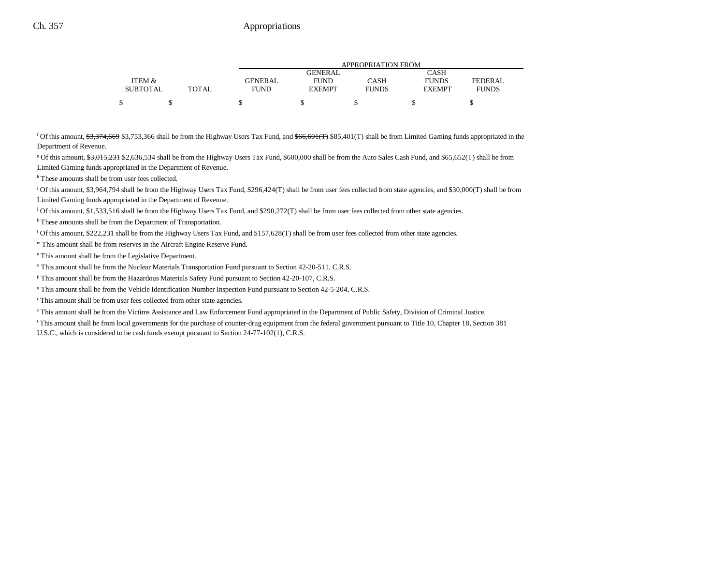|                 |              |         | APPROPRIATION FROM |              |               |              |  |  |
|-----------------|--------------|---------|--------------------|--------------|---------------|--------------|--|--|
|                 |              |         | GENERAL            |              | CASH          |              |  |  |
| ITEM &          |              | GENERAL | <b>FUND</b>        | CASH         | <b>FUNDS</b>  | FEDERAL      |  |  |
| <b>SUBTOTAL</b> | <b>TOTAL</b> | FUND    | <b>EXEMPT</b>      | <b>FUNDS</b> | <b>EXEMPT</b> | <b>FUNDS</b> |  |  |
|                 |              |         |                    |              |               |              |  |  |

<sup>f</sup> Of this amount, \$3,374,669 \$3,753,366 shall be from the Highway Users Tax Fund, and  $$66,601(T)$  \$85,401(T) shall be from Limited Gaming funds appropriated in the Department of Revenue.

g Of this amount, \$3,015,231 \$2,636,534 shall be from the Highway Users Tax Fund, \$600,000 shall be from the Auto Sales Cash Fund, and \$65,652(T) shall be from Limited Gaming funds appropriated in the Department of Revenue.

h These amounts shall be from user fees collected.

i Of this amount, \$3,964,794 shall be from the Highway Users Tax Fund, \$296,424(T) shall be from user fees collected from state agencies, and \$30,000(T) shall be from Limited Gaming funds appropriated in the Department of Revenue.

<sup>j</sup> Of this amount, \$1,533,516 shall be from the Highway Users Tax Fund, and \$290,272(T) shall be from user fees collected from other state agencies.

k These amounts shall be from the Department of Transportation.

<sup>1</sup> Of this amount, \$222,231 shall be from the Highway Users Tax Fund, and \$157,628(T) shall be from user fees collected from other state agencies.

m This amount shall be from reserves in the Aircraft Engine Reserve Fund.

n This amount shall be from the Legislative Department.

<sup>o</sup> This amount shall be from the Nuclear Materials Transportation Fund pursuant to Section 42-20-511, C.R.S.

p This amount shall be from the Hazardous Materials Safety Fund pursuant to Section 42-20-107, C.R.S.

q This amount shall be from the Vehicle Identification Number Inspection Fund pursuant to Section 42-5-204, C.R.S.

r This amount shall be from user fees collected from other state agencies.

s This amount shall be from the Victims Assistance and Law Enforcement Fund appropriated in the Department of Public Safety, Division of Criminal Justice.

t This amount shall be from local governments for the purchase of counter-drug equipment from the federal government pursuant to Title 10, Chapter 18, Section 381 U.S.C., which is considered to be cash funds exempt pursuant to Section 24-77-102(1), C.R.S.